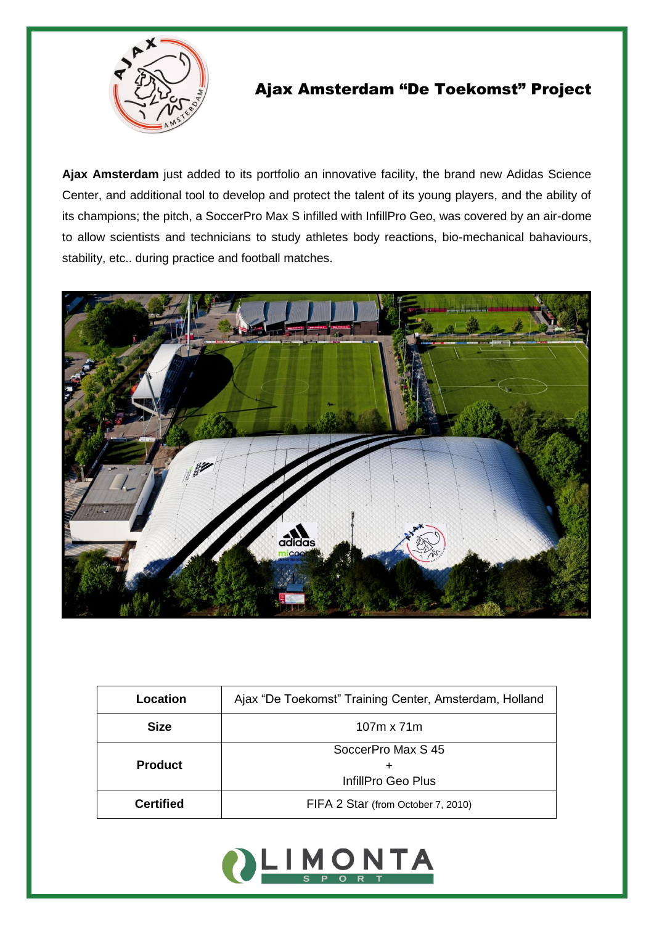

## Ajax Amsterdam "De Toekomst" Project

**Ajax Amsterdam** just added to its portfolio an innovative facility, the brand new Adidas Science Center, and additional tool to develop and protect the talent of its young players, and the ability of its champions; the pitch, a SoccerPro Max S infilled with InfillPro Geo, was covered by an air-dome to allow scientists and technicians to study athletes body reactions, bio-mechanical bahaviours, stability, etc.. during practice and football matches.



| Location         | Ajax "De Toekomst" Training Center, Amsterdam, Holland |
|------------------|--------------------------------------------------------|
| <b>Size</b>      | $107m \times 71m$                                      |
|                  | SoccerPro Max S 45                                     |
| <b>Product</b>   |                                                        |
|                  | InfillPro Geo Plus                                     |
| <b>Certified</b> | FIFA 2 Star (from October 7, 2010)                     |
|                  |                                                        |

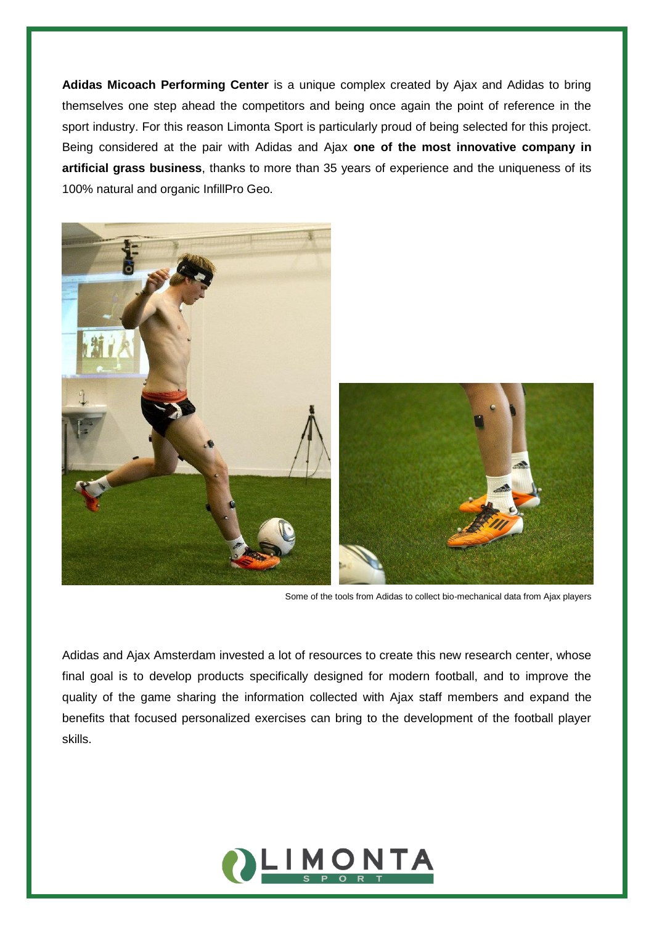**Adidas Micoach Performing Center** is a unique complex created by Ajax and Adidas to bring themselves one step ahead the competitors and being once again the point of reference in the sport industry. For this reason Limonta Sport is particularly proud of being selected for this project. Being considered at the pair with Adidas and Ajax **one of the most innovative company in artificial grass business**, thanks to more than 35 years of experience and the uniqueness of its 100% natural and organic InfillPro Geo.



Some of the tools from Adidas to collect bio-mechanical data from Ajax players

Adidas and Ajax Amsterdam invested a lot of resources to create this new research center, whose final goal is to develop products specifically designed for modern football, and to improve the quality of the game sharing the information collected with Ajax staff members and expand the benefits that focused personalized exercises can bring to the development of the football player skills.